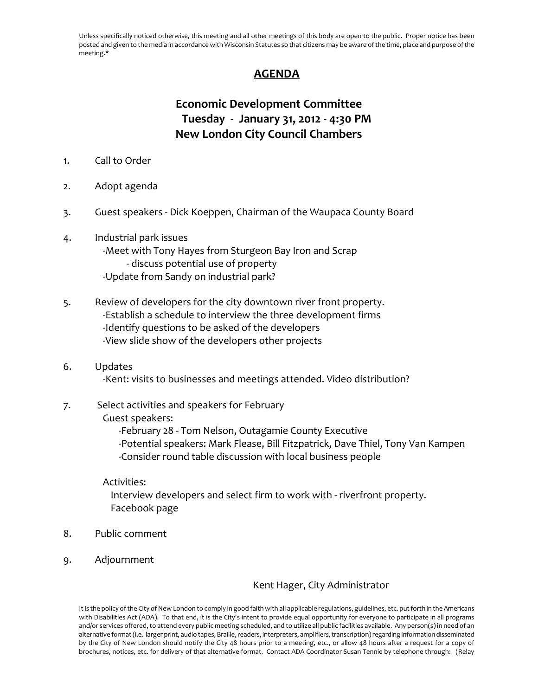Unless specifically noticed otherwise, this meeting and all other meetings of this body are open to the public. Proper notice has been posted and given to the media in accordance with Wisconsin Statutes so that citizens may be aware ofthe time, place and purpose ofthe meeting.\*

## **AGENDA**

## **Economic Development Committee Tuesday ‐ January 31, 2012 ‐ 4:30 PM New London City Council Chambers**

- 1. Call to Order
- 2. Adopt agenda
- 3. Guest speakers ‐ Dick Koeppen, Chairman of the Waupaca County Board
- 4. Industrial park issues ‐Meet with Tony Hayes from Sturgeon Bay Iron and Scrap ‐ discuss potential use of property ‐Update from Sandy on industrial park?
- 5. Review of developers for the city downtown river front property. ‐Establish a schedule to interview the three development firms ‐Identify questions to be asked of the developers ‐View slide show of the developers other projects
- 6. Updates ‐Kent: visits to businesses and meetings attended. Video distribution?
- 7. Select activities and speakers for February Guest speakers:

‐February 28 ‐ Tom Nelson, Outagamie County Executive ‐Potential speakers: Mark Flease, Bill Fitzpatrick, Dave Thiel, Tony Van Kampen ‐Consider round table discussion with local business people

## Activities:

Interview developers and select firm to work with ‐ riverfront property. Facebook page

- 8. Public comment
- 9. Adjournment

## Kent Hager, City Administrator

It is the policy of the City of New London to comply in good faith with all applicable regulations, guidelines, etc. put forth in the Americans with Disabilities Act (ADA). To that end, it is the City's intent to provide equal opportunity for everyone to participate in all programs and/or services offered, to attend every public meeting scheduled, and to utilize all public facilities available. Any person(s) in need of an alternative format (i.e. larger print, audio tapes, Braille, readers, interpreters, amplifiers, transcription) regarding information disseminated by the City of New London should notify the City 48 hours prior to a meeting, etc., or allow 48 hours after a request for a copy of brochures, notices, etc. for delivery of that alternative format. Contact ADA Coordinator Susan Tennie by telephone through: (Relay